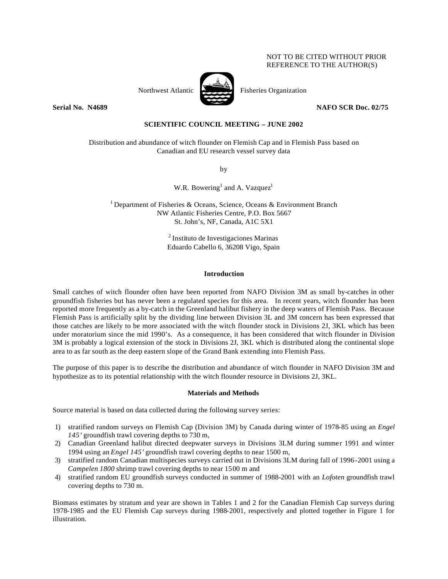## NOT TO BE CITED WITHOUT PRIOR REFERENCE TO THE AUTHOR(S)



Northwest Atlantic Fisheries Organization

**Serial No. 14689 NAFO SCR Doc. 02/75** 

# **SCIENTIFIC COUNCIL MEETING – JUNE 2002**

Distribution and abundance of witch flounder on Flemish Cap and in Flemish Pass based on Canadian and EU research vessel survey data

by

W.R. Bowering<sup>1</sup> and A. Vazquez<sup>1</sup>

<sup>1</sup> Department of Fisheries & Oceans, Science, Oceans & Environment Branch NW Atlantic Fisheries Centre, P.O. Box 5667 St. John's, NF, Canada, A1C 5X1

> <sup>2</sup>Instituto de Investigaciones Marinas Eduardo Cabello 6, 36208 Vigo, Spain

#### **Introduction**

Small catches of witch flounder often have been reported from NAFO Division 3M as small by-catches in other groundfish fisheries but has never been a regulated species for this area. In recent years, witch flounder has been reported more frequently as a by-catch in the Greenland halibut fishery in the deep waters of Flemish Pass. Because Flemish Pass is artificially split by the dividing line between Division 3L and 3M concern has been expressed that those catches are likely to be more associated with the witch flounder stock in Divisions 2J, 3KL which has been under moratorium since the mid 1990's. As a consequence, it has been considered that witch flounder in Division 3M is probably a logical extension of the stock in Divisions 2J, 3KL which is distributed along the continental slope area to as far south as the deep eastern slope of the Grand Bank extending into Flemish Pass.

The purpose of this paper is to describe the distribution and abundance of witch flounder in NAFO Division 3M and hypothesize as to its potential relationship with the witch flounder resource in Divisions 2J, 3KL.

#### **Materials and Methods**

Source material is based on data collected during the following survey series:

- 1) stratified random surveys on Flemish Cap (Division 3M) by Canada during winter of 1978-85 using an *Engel 145'* groundfish trawl covering depths to 730 m,
- 2) Canadian Greenland halibut directed deepwater surveys in Divisions 3LM during summer 1991 and winter 1994 using an *Engel 145'* groundfish trawl covering depths to near 1500 m,
- 3) stratified random Canadian multispecies surveys carried out in Divisions 3LM during fall of 1996-2001 using a *Campelen 1800* shrimp trawl covering depths to near 1500 m and
- 4) stratified random EU groundfish surveys conducted in summer of 1988-2001 with an *Lofoten* groundfish trawl covering depths to 730 m.

Biomass estimates by stratum and year are shown in Tables 1 and 2 for the Canadian Flemish Cap surveys during 1978-1985 and the EU Flemish Cap surveys during 1988-2001, respectively and plotted together in Figure 1 for illustration.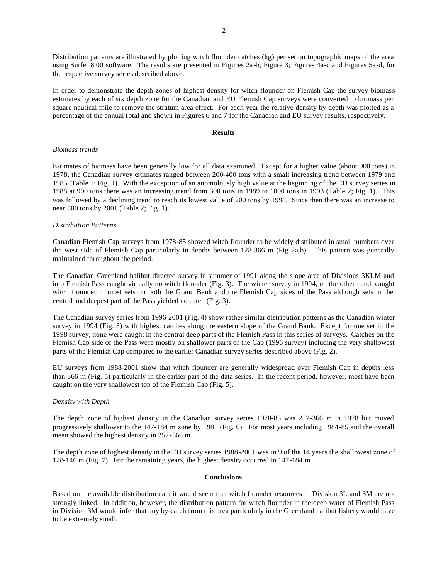2

Distribution patterns are illustrated by plotting witch flounder catches (kg) per set on topographic maps of the area using Surfer 8.00 software. The results are presented in Figures 2a-b; Figure 3; Figures 4a-c and Figures 5a-d, for the respective survey series described above.

In order to demonstrate the depth zones of highest density for witch flounder on Flemish Cap the survey biomass estimates by each of six depth zone for the Canadian and EU Flemish Cap surveys were converted to biomass per square nautical mile to remove the stratum area effect. For each year the relative density by depth was plotted as a percentage of the annual total and shown in Figures 6 and 7 for the Canadian and EU survey results, respectively.

#### **Results**

### *Biomass trends*

Estimates of biomass have been generally low for all data examined. Except for a higher value (about 900 tons) in 1978, the Canadian survey estimates ranged between 200-400 tons with a small increasing trend between 1979 and 1985 (Table 1; Fig. 1). With the exception of an anomolously high value at the beginning of the EU survey series in 1988 at 900 tons there was an increasing trend from 300 tons in 1989 to 1000 tons in 1993 (Table 2; Fig. 1). This was followed by a declining trend to reach its lowest value of 200 tons by 1998. Since then there was an increase to near 500 tons by 2001 (Table 2; Fig. 1).

## *Distribution Patterns*

Canadian Flemish Cap surveys from 1978-85 showed witch flounder to be widely distributed in small numbers over the west side of Flemish Cap particularly in depths between 128-366 m (Fig 2a,b). This pattern was generally maintained throughout the period.

The Canadian Greenland halibut directed survey in summer of 1991 along the slope area of Divisions 3KLM and into Flemish Pass caught virtually no witch flounder (Fig. 3). The winter survey in 1994, on the other hand, caught witch flounder in most sets on both the Grand Bank and the Flemish Cap sides of the Pass although sets in the central and deepest part of the Pass yielded no catch (Fig. 3).

The Canadian survey series from 1996-2001 (Fig. 4) show rather similar distribution patterns as the Canadian winter survey in 1994 (Fig. 3) with highest catches along the eastern slope of the Grand Bank. Except for one set in the 1998 survey, none were caught in the central deep parts of the Flemish Pass in this series of surveys. Catches on the Flemish Cap side of the Pass were mostly on shallower parts of the Cap (1996 survey) including the very shallowest parts of the Flemish Cap compared to the earlier Canadian survey series described above (Fig. 2).

EU surveys from 1988-2001 show that witch flounder are generally widespread over Flemish Cap in depths less than 366 m (Fig. 5) particularly in the earlier part of the data series. In the recent period, however, most have been caught on the very shallowest top of the Flemish Cap (Fig. 5).

# *Density with Depth*

The depth zone of highest density in the Canadian survey series 1978-85 was 257-366 m in 1978 but moved progressively shallower to the 147-184 m zone by 1981 (Fig. 6). For most years including 1984-85 and the overall mean showed the highest density in 257-366 m.

The depth zone of highest density in the EU survey series 1988-2001 was in 9 of the 14 years the shallowest zone of 128-146 m (Fig. 7). For the remaining years, the highest density occurred in 147-184 m.

### **Conclusions**

Based on the available distribution data it would seem that witch flounder resources in Division 3L and 3M are not strongly linked. In addition, however, the distribution pattern for witch flounder in the deep water of Flemish Pass in Division 3M would infer that any by-catch from this area particularly in the Greenland halibut fishery would have to be extremely small.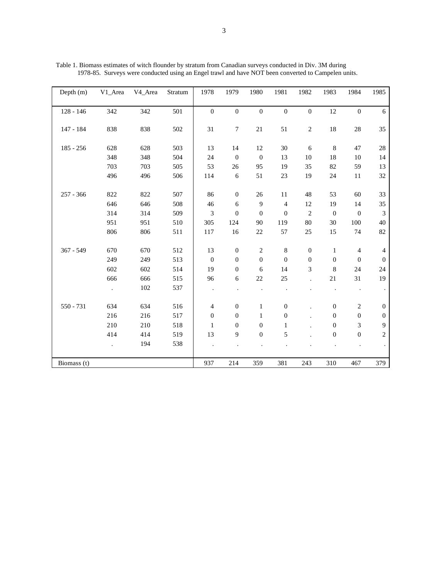| Depth $(m)$ | V1_Area | V <sub>4_Area</sub> | Stratum | 1978             | 1979                               | 1980             | 1981             | 1982                               | 1983             | 1984             | 1985             |
|-------------|---------|---------------------|---------|------------------|------------------------------------|------------------|------------------|------------------------------------|------------------|------------------|------------------|
| $128 - 146$ | 342     | 342                 | 501     | $\overline{0}$   | $\mathbf{0}$                       | $\boldsymbol{0}$ | $\boldsymbol{0}$ | $\boldsymbol{0}$                   | 12               | $\boldsymbol{0}$ | 6                |
|             |         |                     |         |                  |                                    |                  |                  |                                    |                  |                  |                  |
| 147 - 184   | 838     | 838                 | 502     | 31               | $\tau$                             | 21               | 51               | $\sqrt{2}$                         | 18               | $28\,$           | 35               |
| $185 - 256$ | 628     | 628                 | 503     | 13               | 14                                 | $12\,$           | $30\,$           | 6                                  | $\,8\,$          | 47               | 28               |
|             | 348     | 348                 | 504     | 24               | $\overline{0}$                     | $\boldsymbol{0}$ | 13               | 10                                 | 18               | $10\,$           | 14               |
|             | 703     | 703                 | 505     | 53               | 26                                 | 95               | 19               | 35                                 | 82               | 59               | 13               |
|             | 496     | 496                 | 506     | 114              | 6                                  | 51               | $23\,$           | 19                                 | 24               |                  | 32               |
|             |         |                     |         |                  |                                    |                  |                  |                                    |                  | 11               |                  |
| $257 - 366$ | 822     | 822                 | 507     | 86               | $\mathbf{0}$                       | $26\,$           | 11               | 48                                 | 53               | 60               | 33               |
|             | 646     | 646                 | 508     | 46               | 6                                  | 9                | $\overline{4}$   | 12                                 | 19               | 14               | 35               |
|             | 314     | 314                 | 509     | 3                | $\boldsymbol{0}$                   | $\boldsymbol{0}$ | $\boldsymbol{0}$ | $\overline{2}$                     | $\boldsymbol{0}$ | $\mathbf{0}$     | 3                |
|             | 951     | 951                 | 510     | 305              | 124                                | 90               | 119              | 80                                 | 30               | 100              | 40               |
|             | 806     | 806                 | 511     | 117              | 16                                 | $22\,$           | 57               | 25                                 | 15               | 74               | 82               |
| 367 - 549   | 670     | 670                 | 512     | 13               |                                    | $\sqrt{2}$       | $\,8$            |                                    | 1                | $\overline{4}$   |                  |
|             | 249     | 249                 | 513     | $\overline{0}$   | $\boldsymbol{0}$<br>$\overline{0}$ | $\boldsymbol{0}$ | $\mathbf{0}$     | $\boldsymbol{0}$<br>$\overline{0}$ | $\theta$         | $\mathbf{0}$     | 4<br>$\theta$    |
|             | 602     |                     |         |                  |                                    |                  |                  |                                    |                  |                  |                  |
|             |         | 602                 | 514     | 19               | $\boldsymbol{0}$                   | 6                | 14               | 3                                  | 8                | $24\,$           | 24               |
|             | 666     | 666                 | 515     | 96               | 6                                  | $22\,$           | 25               |                                    | 21               | 31               | 19               |
|             | $\cdot$ | 102                 | 537     | $\cdot$          |                                    |                  |                  |                                    |                  |                  |                  |
| 550 - 731   | 634     | 634                 | 516     | 4                | $\mathbf{0}$                       | $\mathbf{1}$     | $\boldsymbol{0}$ |                                    | $\mathbf{0}$     | $\sqrt{2}$       | $\boldsymbol{0}$ |
|             | 216     | 216                 | 517     | $\boldsymbol{0}$ | $\mathbf{0}$                       | $\mathbf{1}$     | $\boldsymbol{0}$ |                                    | $\boldsymbol{0}$ | $\mathbf{0}$     | $\boldsymbol{0}$ |
|             | 210     | 210                 | 518     | 1                | $\overline{0}$                     | $\boldsymbol{0}$ | 1                |                                    | $\overline{0}$   | 3                | 9                |
|             | 414     | 414                 | 519     | 13               | 9                                  | $\boldsymbol{0}$ | 5                |                                    | $\boldsymbol{0}$ | $\boldsymbol{0}$ | $\overline{c}$   |
|             | $\Box$  | 194                 | 538     |                  |                                    |                  |                  |                                    |                  |                  |                  |
|             |         |                     |         |                  |                                    |                  |                  |                                    |                  |                  |                  |
| Biomass (t) |         |                     |         | 937              | 214                                | 359              | 381              | 243                                | 310              | 467              | 379              |

Table 1. Biomass estimates of witch flounder by stratum from Canadian surveys conducted in Div. 3M during 1978-85. Surveys were conducted using an Engel trawl and have NOT been converted to Campelen units.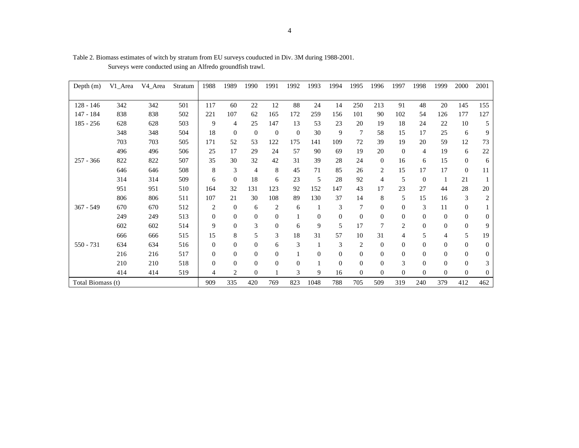| Depth $(m)$       | V1_Area | V <sub>4</sub> Area | Stratum | 1988           | 1989           | 1990             | 1991           | 1992           | 1993             | 1994     | 1995           | 1996           | 1997           | 1998           | 1999           | 2000             | 2001             |
|-------------------|---------|---------------------|---------|----------------|----------------|------------------|----------------|----------------|------------------|----------|----------------|----------------|----------------|----------------|----------------|------------------|------------------|
|                   |         |                     |         |                |                |                  |                |                |                  |          |                |                |                |                |                |                  |                  |
| $128 - 146$       | 342     | 342                 | 501     | 117            | 60             | 22               | 12             | 88             | 24               | 14       | 250            | 213            | 91             | 48             | 20             | 145              | 155              |
| 147 - 184         | 838     | 838                 | 502     | 221            | 107            | 62               | 165            | 172            | 259              | 156      | 101            | 90             | 102            | 54             | 126            | 177              | 127              |
| $185 - 256$       | 628     | 628                 | 503     | 9              | 4              | 25               | 147            | 13             | 53               | 23       | 20             | 19             | 18             | 24             | 22             | 10               | 5                |
|                   | 348     | 348                 | 504     | 18             | $\mathbf{0}$   | $\mathbf{0}$     | $\theta$       | $\mathbf{0}$   | 30               | 9        | 7              | 58             | 15             | 17             | 25             | 6                | 9                |
|                   | 703     | 703                 | 505     | 171            | 52             | 53               | 122            | 175            | 141              | 109      | 72             | 39             | 19             | 20             | 59             | 12               | 73               |
|                   | 496     | 496                 | 506     | 25             | 17             | 29               | 24             | 57             | 90               | 69       | 19             | 20             | $\Omega$       | $\overline{4}$ | 19             | 6                | $22\,$           |
| $257 - 366$       | 822     | 822                 | 507     | 35             | 30             | 32               | 42             | 31             | 39               | 28       | 24             | $\overline{0}$ | 16             | 6              | 15             | $\boldsymbol{0}$ | 6                |
|                   | 646     | 646                 | 508     | 8              | 3              | 4                | 8              | 45             | 71               | 85       | 26             | 2              | 15             | 17             | 17             | $\overline{0}$   | 11               |
|                   | 314     | 314                 | 509     | 6              | $\Omega$       | 18               | 6              | 23             | 5                | 28       | 92             | 4              | 5              | $\overline{0}$ | 1              | 21               |                  |
|                   | 951     | 951                 | 510     | 164            | 32             | 131              | 123            | 92             | 152              | 147      | 43             | 17             | 23             | 27             | 44             | 28               | 20               |
|                   | 806     | 806                 | 511     | 107            | 21             | 30               | 108            | 89             | 130              | 37       | 14             | 8              | 5              | 15             | 16             | 3                | $\overline{c}$   |
| $367 - 549$       | 670     | 670                 | 512     | 2              | $\theta$       | 6                | $\overline{2}$ | 6              | 1                | 3        | 7              | $\Omega$       | $\Omega$       | 3              | 11             | $\mathbf{0}$     |                  |
|                   | 249     | 249                 | 513     | $\theta$       | $\overline{0}$ | $\boldsymbol{0}$ | $\overline{0}$ |                | $\boldsymbol{0}$ | $\theta$ | $\mathbf{0}$   | $\mathbf{0}$   | $\overline{0}$ | $\overline{0}$ | $\overline{0}$ | $\boldsymbol{0}$ | $\mathbf{0}$     |
|                   | 602     | 602                 | 514     | 9              | $\mathbf{0}$   | 3                | $\theta$       | 6              | 9                | 5        | 17             | 7              | $\overline{2}$ | $\theta$       | $\theta$       | $\overline{0}$   | 9                |
|                   | 666     | 666                 | 515     | 15             | 8              | 5                | 3              | 18             | 31               | 57       | 10             | 31             | 4              | 5              | 4              | 5                | 19               |
| $550 - 731$       | 634     | 634                 | 516     | $\overline{0}$ | $\theta$       | $\overline{0}$   | 6              | 3              | 1                | 3        | 2              | $\overline{0}$ | $\overline{0}$ | $\overline{0}$ | $\overline{0}$ | $\boldsymbol{0}$ | $\mathbf{0}$     |
|                   | 216     | 216                 | 517     | $\Omega$       | $\Omega$       | $\Omega$         | $\overline{0}$ |                | $\boldsymbol{0}$ | $\theta$ | $\overline{0}$ | $\Omega$       | $\Omega$       | $\Omega$       | $\theta$       | $\overline{0}$   | $\mathbf{0}$     |
|                   | 210     | 210                 | 518     | $\Omega$       | $\Omega$       | $\theta$         | $\theta$       | $\overline{0}$ | $\mathbf{1}$     | $\Omega$ | $\overline{0}$ | $\Omega$       | 3              | $\Omega$       | $\theta$       | $\boldsymbol{0}$ | 3                |
|                   | 414     | 414                 | 519     | 4              | 2              | $\Omega$         |                | 3              | 9                | 16       | $\Omega$       | $\Omega$       | $\Omega$       | $\theta$       | $\Omega$       | $\overline{0}$   | $\boldsymbol{0}$ |
| Total Biomass (t) |         |                     | 909     | 335            | 420            | 769              | 823            | 1048           | 788              | 705      | 509            | 319            | 240            | 379            | 412            | 462              |                  |

Table 2. Biomass estimates of witch by stratum from EU surveys couducted in Div. 3M during 1988-2001. Surveys were conducted using an Alfredo groundfish trawl.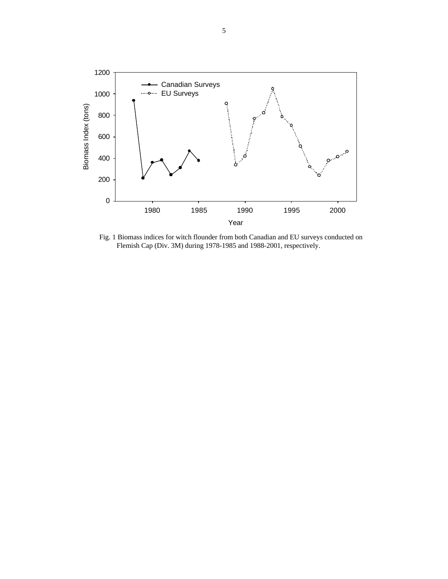

Fig. 1 Biomass indices for witch flounder from both Canadian and EU surveys conducted on Flemish Cap (Div. 3M) during 1978-1985 and 1988-2001, respectively.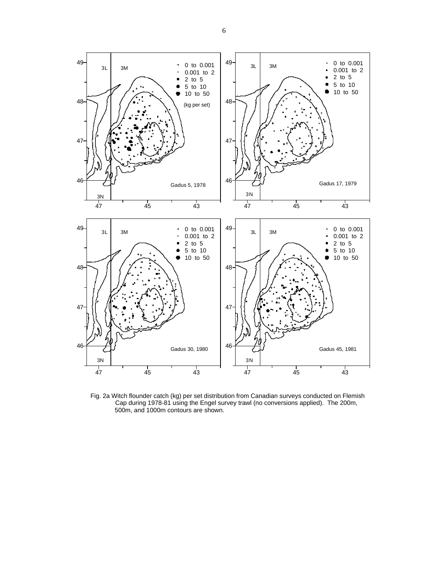

Fig. 2a Witch flounder catch (kg) per set distribution from Canadian surveys conducted on Flemish Cap during 1978-81 using the Engel survey trawl (no conversions applied). The 200m, 500m, and 1000m contours are shown.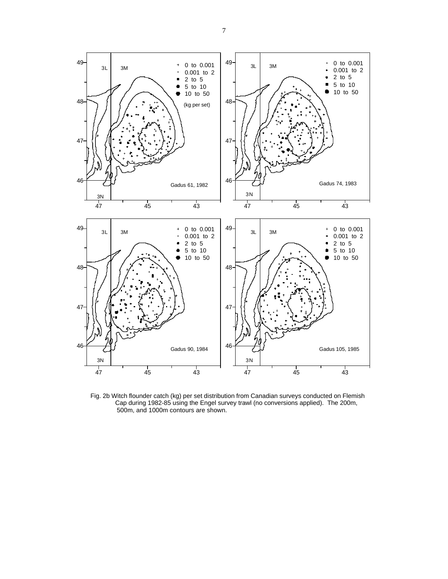

Fig. 2b Witch flounder catch (kg) per set distribution from Canadian surveys conducted on Flemish Cap during 1982-85 using the Engel survey trawl (no conversions applied). The 200m, 500m, and 1000m contours are shown.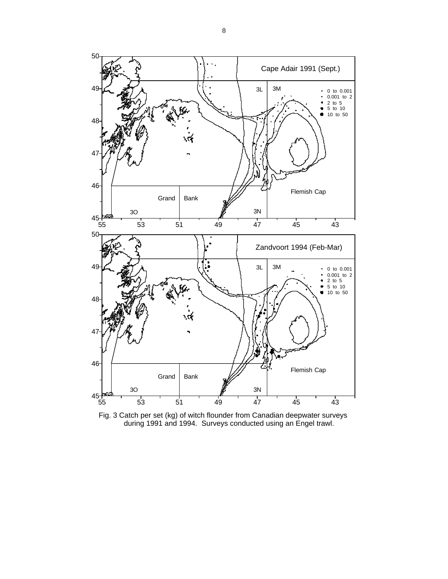

Fig. 3 Catch per set (kg) of witch flounder from Canadian deepwater surveys during 1991 and 1994. Surveys conducted using an Engel trawl.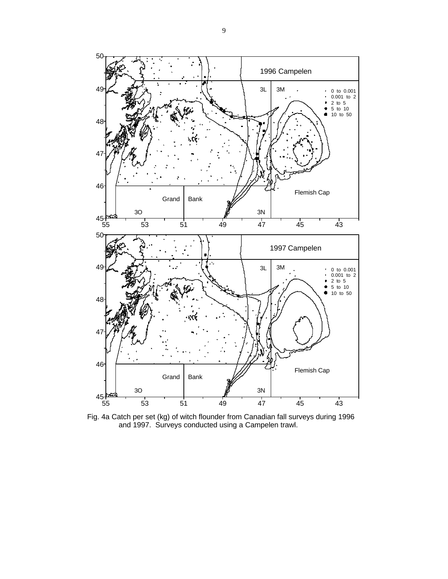50 1996 Campelen 49 3L 3M 0 to 0.001  $\hat{\mathbf{z}}$  $0.001$  to 2<br>2 to 5 2 to 5 5 to 10 10 to 50 48 47 46 Flemish Cap Grand Bank 3O 3N  $45\frac{14}{55}$ 55 53 51 49 47 45 43 50 1997 Campelen 49 3L 3M 0 to 0.001 0.001 to 2 2 to 5 5 to 10 10 to 50 48  $\overline{4}$ 46 Flemish Cap Grand Bank 3O 3N  $45\frac{12}{55}$ 55 53 51 49 47 45 43

Fig. 4a Catch per set (kg) of witch flounder from Canadian fall surveys during 1996 and 1997. Surveys conducted using a Campelen trawl.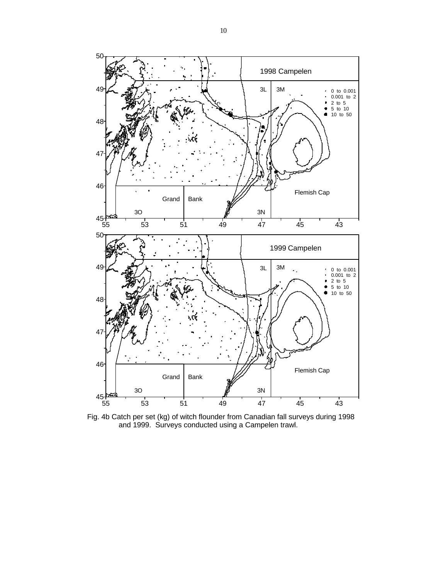

Fig. 4b Catch per set (kg) of witch flounder from Canadian fall surveys during 1998 and 1999. Surveys conducted using a Campelen trawl.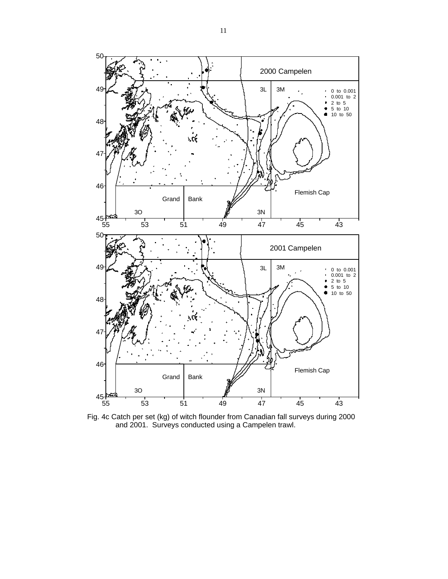

Fig. 4c Catch per set (kg) of witch flounder from Canadian fall surveys during 2000 and 2001. Surveys conducted using a Campelen trawl.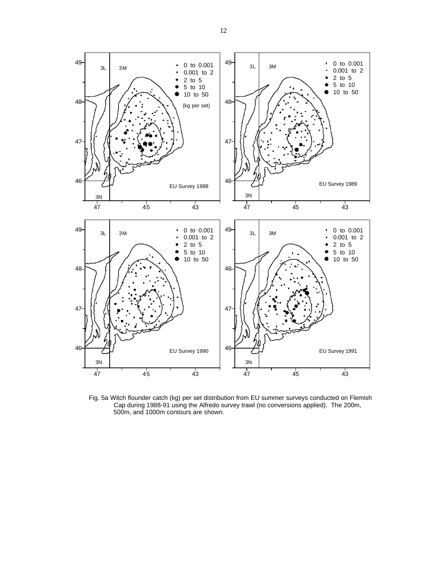

Fig. 5a Witch flounder catch (kg) per set distribution from EU summer surveys conducted on Flemish Cap during 1988-91 using the Alfredo survey trawl (no conversions applied). The 200m, 500m, and 1000m contours are shown.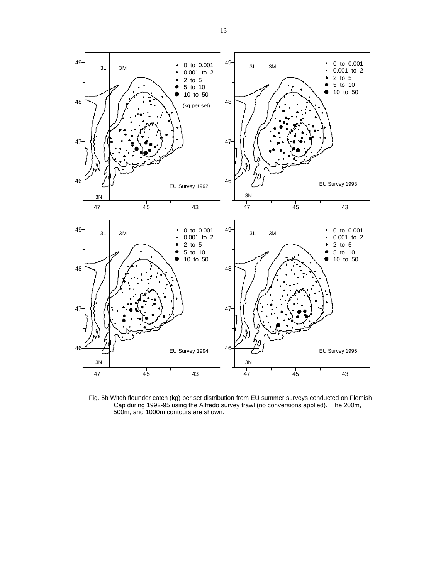

Fig. 5b Witch flounder catch (kg) per set distribution from EU summer surveys conducted on Flemish Cap during 1992-95 using the Alfredo survey trawl (no conversions applied). The 200m, 500m, and 1000m contours are shown.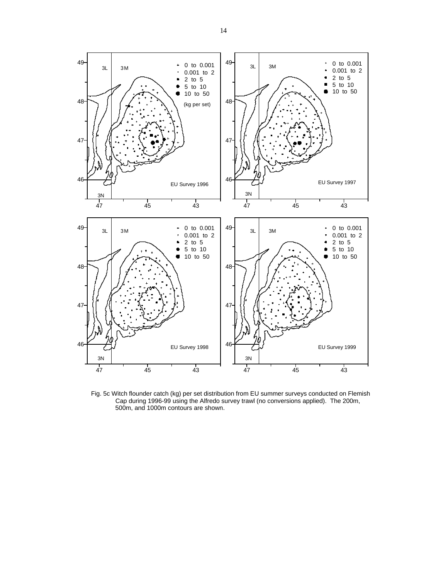

Fig. 5c Witch flounder catch (kg) per set distribution from EU summer surveys conducted on Flemish Cap during 1996-99 using the Alfredo survey trawl (no conversions applied). The 200m, 500m, and 1000m contours are shown.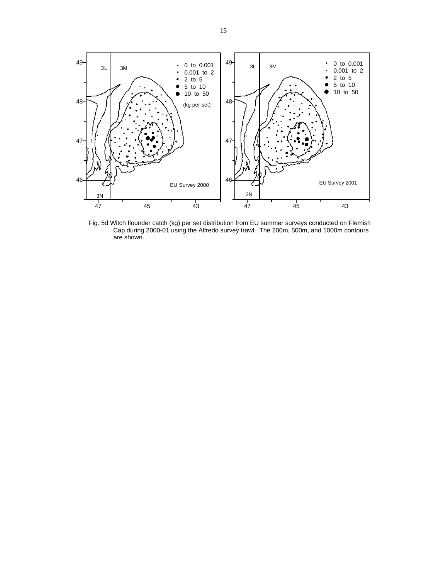

Fig. 5d Witch flounder catch (kg) per set distribution from EU summer surveys conducted on Flemish Cap during 2000-01 using the Alfredo survey trawl. The 200m, 500m, and 1000m contours are shown.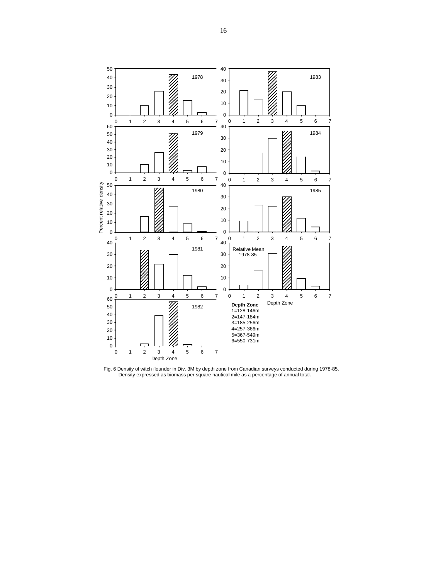

Fig. 6 Density of witch flounder in Div. 3M by depth zone from Canadian surveys conducted during 1978-85. Density expressed as biomass per square nautical mile as a percentage of annual total.